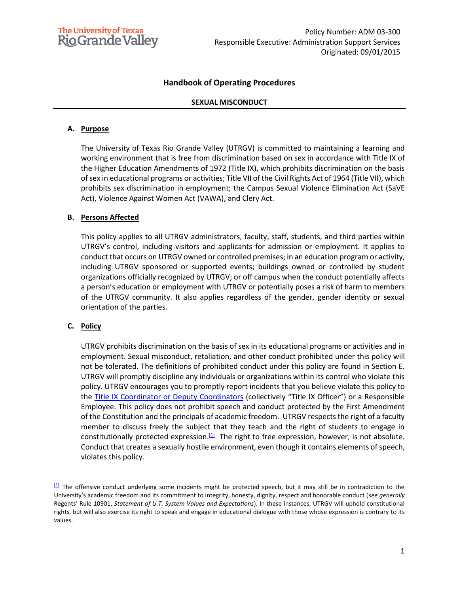

## **Handbook of Operating Procedures**

#### **SEXUAL MISCONDUCT**

#### **A. Purpose**

The University of Texas Rio Grande Valley (UTRGV) is committed to maintaining a learning and working environment that is free from discrimination based on sex in accordance with Title IX of the Higher Education Amendments of 1972 (Title IX), which prohibits discrimination on the basis of sex in educational programs or activities; Title VII of the Civil Rights Act of 1964 (Title VII), which prohibits sex discrimination in employment; the Campus Sexual Violence Elimination Act (SaVE Act), Violence Against Women Act (VAWA), and Clery Act.

#### **B. Persons Affected**

This policy applies to all UTRGV administrators, faculty, staff, students, and third parties within UTRGV's control, including visitors and applicants for admission or employment. It applies to conduct that occurs on UTRGV owned or controlled premises; in an education program or activity, including UTRGV sponsored or supported events; buildings owned or controlled by student organizations officially recognized by UTRGV; or off campus when the conduct potentially affects a person's education or employment with UTRGV or potentially poses a risk of harm to members of the UTRGV community. It also applies regardless of the gender, gender identity or sexual orientation of the parties.

#### **C. Policy**

UTRGV prohibits discrimination on the basis of sex in its educational programs or activities and in employment. Sexual misconduct, retaliation, and other conduct prohibited under this policy will not be tolerated. The definitions of prohibited conduct under this policy are found in Section E. UTRGV will promptly discipline any individuals or organizations within its control who violate this policy. UTRGV encourages you to promptly report incidents that you believe violate this policy to the [Title IX Coordinator or Deputy Coordinators](https://www.utrgv.edu/equity/_files/documents/utrgv-notice-of-non-discrimination.pdf) (collectively "Title IX Officer") or a Responsible Employee. This policy does not prohibit speech and conduct protected by the First Amendment of the Constitution and the principals of academic freedom. UTRGV respects the right of a faculty member to discuss freely the subject that they teach and the right of students to engage in constitutionally protected expression.<sup>[\[1\]](file:///C:/Users/cbr106/AppData/Local/Microsoft/Windows/INetCache/Content.Outlook/R7ER28NI/ADM-03-300--2020-01-24-Sexual-Misconduct.docx%23_ftn1)</sup> The right to free expression, however, is not absolute. Conduct that creates a sexually hostile environment, even though it contains elements of speech, violates this policy*.*

[\[1\]](file:///C:/Users/cbr106/AppData/Local/Microsoft/Windows/INetCache/Content.Outlook/R7ER28NI/ADM-03-300--2020-01-24-Sexual-Misconduct.docx%23_ftnref1) The offensive conduct underlying some incidents might be protected speech, but it may still be in contradiction to the University's academic freedom and its commitment to integrity, honesty, dignity, respect and honorable conduct (*see generally* Regents' Rule 10901, *Statement of U.T. System Values and Expectations*). In these instances, UTRGV will uphold constitutional rights, but will also exercise its right to speak and engage in educational dialogue with those whose expression is contrary to its values.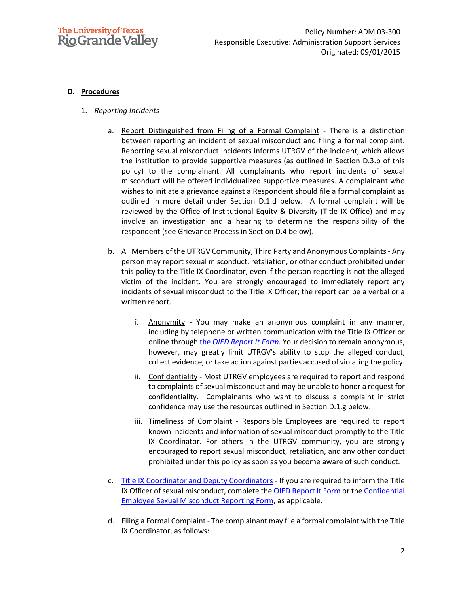

### **D. Procedures**

- 1. *Reporting Incidents*
	- a. Report Distinguished from Filing of a Formal Complaint There is a distinction between reporting an incident of sexual misconduct and filing a formal complaint. Reporting sexual misconduct incidents informs UTRGV of the incident, which allows the institution to provide supportive measures (as outlined in Section D.3.b of this policy) to the complainant. All complainants who report incidents of sexual misconduct will be offered individualized supportive measures. A complainant who wishes to initiate a grievance against a Respondent should file a formal complaint as outlined in more detail under Section D.1.d below. A formal complaint will be reviewed by the Office of Institutional Equity & Diversity (Title IX Office) and may involve an investigation and a hearing to determine the responsibility of the respondent (see Grievance Process in Section D.4 below).
	- b. All Members of the UTRGV Community, Third Party and Anonymous Complaints Any person may report sexual misconduct, retaliation, or other conduct prohibited under this policy to the Title IX Coordinator, even if the person reporting is not the alleged victim of the incident. You are strongly encouraged to immediately report any incidents of sexual misconduct to the Title IX Officer; the report can be a verbal or a written report.
		- i. Anonymity You may make an anonymous complaint in any manner, including by telephone or written communication with the Title IX Officer or online through the *OIED [Report It](https://cm.maxient.com/reportingform.php?UnivofTexasRGV&layout_id=13) Form.* Your decision to remain anonymous, however, may greatly limit UTRGV's ability to stop the alleged conduct, collect evidence, or take action against parties accused of violating the policy.
		- ii. Confidentiality Most UTRGV employees are required to report and respond to complaints of sexual misconduct and may be unable to honor a request for confidentiality. Complainants who want to discuss a complaint in strict confidence may use the resources outlined in Section D.1.g below.
		- iii. Timeliness of Complaint Responsible Employees are required to report known incidents and information of sexual misconduct promptly to the Title IX Coordinator. For others in the UTRGV community, you are strongly encouraged to report sexual misconduct, retaliation, and any other conduct prohibited under this policy as soon as you become aware of such conduct.
	- c. [Title IX Coordinator and Deputy Coordinators](https://www.utrgv.edu/equity/_files/documents/utrgv-notice-of-non-discrimination.pdf) If you are required to inform the Title IX Officer of sexual misconduct, complete th[e OIED Report It Form](https://cm.maxient.com/reportingform.php?UnivofTexasRGV&layout_id=13) or the Confidential [Employee Sexual Misconduct](https://cm.maxient.com/reportingform.php?UnivofTexasRGV&layout_id=35) Reporting Form, as applicable.
	- d. Filing a Formal Complaint The complainant may file a formal complaint with the Title IX Coordinator, as follows: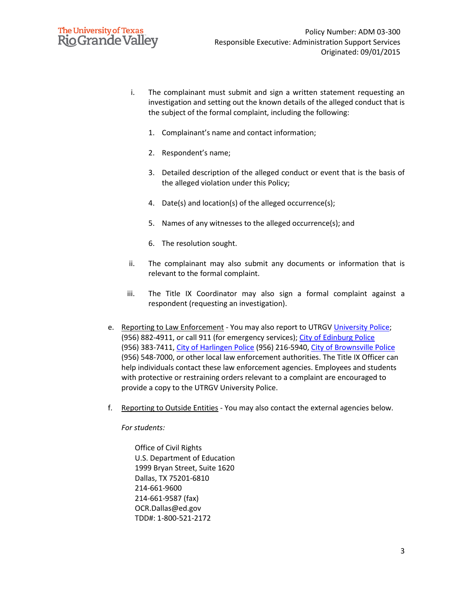

- i. The complainant must submit and sign a written statement requesting an investigation and setting out the known details of the alleged conduct that is the subject of the formal complaint, including the following:
	- 1. Complainant's name and contact information;
	- 2. Respondent's name;
	- 3. Detailed description of the alleged conduct or event that is the basis of the alleged violation under this Policy;
	- 4. Date(s) and location(s) of the alleged occurrence(s);
	- 5. Names of any witnesses to the alleged occurrence(s); and
	- 6. The resolution sought.
- ii. The complainant may also submit any documents or information that is relevant to the formal complaint.
- iii. The Title IX Coordinator may also sign a formal complaint against a respondent (requesting an investigation).
- e. Reporting to Law Enforcement You may also report to UTRG[V University Police;](https://www.utrgv.edu/police/) (956) 882-4911, or call 911 (for emergency services); [City of Edinburg](http://mail.cityofedinburg.com/police.php) Police (956) 383-7411[, City of Harlingen Police](http://www.myharlingen.us/page/police.home) (956) 216-5940, [City of Brownsville Police](https://www.brownsvillepd.com/) (956) 548-7000, or other local law enforcement authorities. The Title IX Officer can help individuals contact these law enforcement agencies. Employees and students with protective or restraining orders relevant to a complaint are encouraged to provide a copy to the UTRGV University Police.
- f. Reporting to Outside Entities You may also contact the external agencies below.

*For students:*

Office of Civil Rights U.S. Department of Education 1999 Bryan Street, Suite 1620 Dallas, TX 75201-6810 214-661-9600 214-661-9587 (fax) OCR.Dallas@ed.gov TDD#: 1-800-521-2172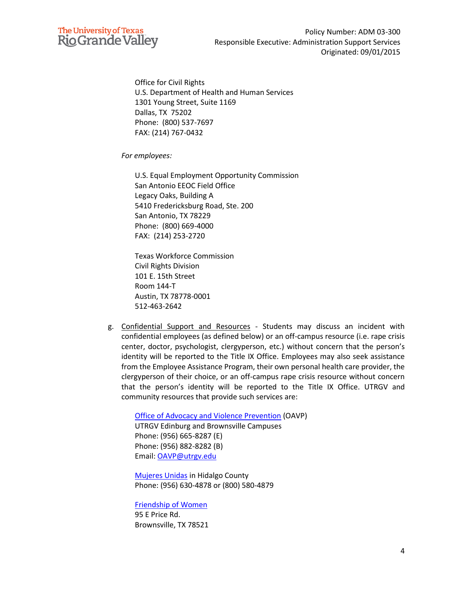

Office for Civil Rights U.S. Department of Health and Human Services 1301 Young Street, Suite 1169 Dallas, TX 75202 Phone: (800) 537-7697 FAX: (214) 767-0432

*For employees:*

U.S. Equal Employment Opportunity Commission San Antonio EEOC Field Office Legacy Oaks, Building A 5410 Fredericksburg Road, Ste. 200 San Antonio, TX 78229 Phone: (800) 669-4000 FAX: (214) 253-2720

Texas Workforce Commission Civil Rights Division 101 E. 15th Street Room 144-T Austin, TX 78778-0001 512-463-2642

g. Confidential Support and Resources - Students may discuss an incident with confidential employees (as defined below) or an off-campus resource (i.e. rape crisis center, doctor, psychologist, clergyperson, etc.) without concern that the person's identity will be reported to the Title IX Office. Employees may also seek assistance from the Employee Assistance Program, their own personal health care provider, the clergyperson of their choice, or an off-campus rape crisis resource without concern that the person's identity will be reported to the Title IX Office. UTRGV and community resources that provide such services are:

[Office of Advocacy and Violence Prevention](https://www.utrgv.edu/oavp/) (OAVP) UTRGV Edinburg and Brownsville Campuses Phone: (956) 665-8287 (E) Phone: (956) 882-8282 (B) Email: [OAVP@utrgv.edu](mailto:OAVP@utrgv.edu)

[Mujeres Unidas](http://mujeresunidas.org/) in Hidalgo County Phone: (956) 630-4878 or [\(800\) 580-4879](javascript:void(0))

[Friendship of Women](http://www.fowinc.com/) 95 E Price Rd. Brownsville, TX 78521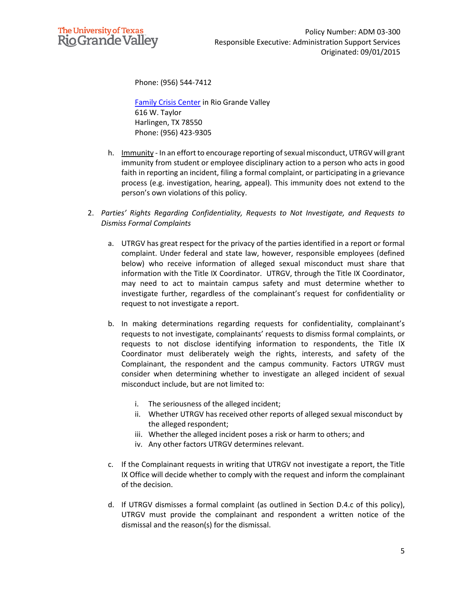

Phone: (956) 544-7412

[Family Crisis Center](https://www.familycrisisctr.org/) in Rio Grande Valley 616 W. Taylor Harlingen, TX 78550 Phone: (956) 423-9305

- h. Immunity In an effort to encourage reporting of sexual misconduct, UTRGV will grant immunity from student or employee disciplinary action to a person who acts in good faith in reporting an incident, filing a formal complaint, or participating in a grievance process (e.g. investigation, hearing, appeal). This immunity does not extend to the person's own violations of this policy.
- 2. *Parties' Rights Regarding Confidentiality, Requests to Not Investigate, and Requests to Dismiss Formal Complaints*
	- a. UTRGV has great respect for the privacy of the parties identified in a report or formal complaint. Under federal and state law, however, responsible employees (defined below) who receive information of alleged sexual misconduct must share that information with the Title IX Coordinator. UTRGV, through the Title IX Coordinator, may need to act to maintain campus safety and must determine whether to investigate further, regardless of the complainant's request for confidentiality or request to not investigate a report.
	- b. In making determinations regarding requests for confidentiality, complainant's requests to not investigate, complainants' requests to dismiss formal complaints, or requests to not disclose identifying information to respondents, the Title IX Coordinator must deliberately weigh the rights, interests, and safety of the Complainant, the respondent and the campus community. Factors UTRGV must consider when determining whether to investigate an alleged incident of sexual misconduct include, but are not limited to:
		- i. The seriousness of the alleged incident;
		- ii. Whether UTRGV has received other reports of alleged sexual misconduct by the alleged respondent;
		- iii. Whether the alleged incident poses a risk or harm to others; and
		- iv. Any other factors UTRGV determines relevant.
	- c. If the Complainant requests in writing that UTRGV not investigate a report, the Title IX Office will decide whether to comply with the request and inform the complainant of the decision.
	- d. If UTRGV dismisses a formal complaint (as outlined in Section D.4.c of this policy), UTRGV must provide the complainant and respondent a written notice of the dismissal and the reason(s) for the dismissal.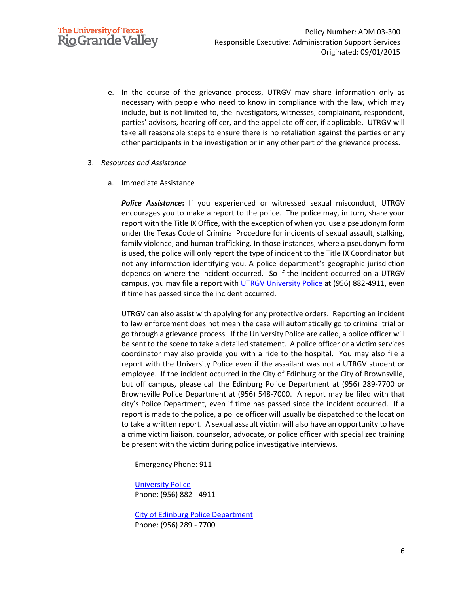e. In the course of the grievance process, UTRGV may share information only as necessary with people who need to know in compliance with the law, which may include, but is not limited to, the investigators, witnesses, complainant, respondent, parties' advisors, hearing officer, and the appellate officer, if applicable. UTRGV will take all reasonable steps to ensure there is no retaliation against the parties or any other participants in the investigation or in any other part of the grievance process.

#### 3. *Resources and Assistance*

#### a. Immediate Assistance

*Police Assistance***:** If you experienced or witnessed sexual misconduct, UTRGV encourages you to make a report to the police. The police may, in turn, share your report with the Title IX Office, with the exception of when you use a pseudonym form under the Texas Code of Criminal Procedure for incidents of sexual assault, stalking, family violence, and human trafficking. In those instances, where a pseudonym form is used, the police will only report the type of incident to the Title IX Coordinator but not any information identifying you. A police department's geographic jurisdiction depends on where the incident occurred. So if the incident occurred on a UTRGV campus, you may file a report with **UTRGV University Police** at (956) 882-4911, even if time has passed since the incident occurred.

UTRGV can also assist with applying for any protective orders. Reporting an incident to law enforcement does not mean the case will automatically go to criminal trial or go through a grievance process. If the University Police are called, a police officer will be sent to the scene to take a detailed statement. A police officer or a victim services coordinator may also provide you with a ride to the hospital. You may also file a report with the University Police even if the assailant was not a UTRGV student or employee. If the incident occurred in the City of Edinburg or the City of Brownsville, but off campus, please call the Edinburg Police Department at (956) 289-7700 or Brownsville Police Department at (956) 548-7000. A report may be filed with that city's Police Department, even if time has passed since the incident occurred. If a report is made to the police, a police officer will usually be dispatched to the location to take a written report. A sexual assault victim will also have an opportunity to have a crime victim liaison, counselor, advocate, or police officer with specialized training be present with the victim during police investigative interviews.

Emergency Phone: 911

[University Police](https://www.utrgv.edu/police/) Phone: (956) 882 - 4911

[City of Edinburg Police Department](http://mail.cityofedinburg.com/police.php) Phone: (956) 289 - 7700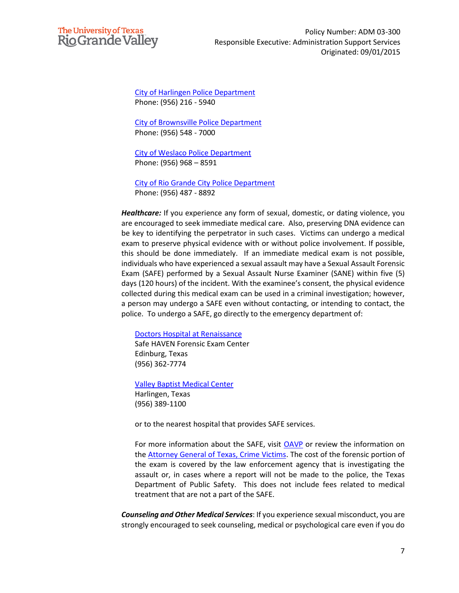

[City of Harlingen Police Department](http://www.myharlingen.us/page/police.home) Phone: (956) 216 - 5940

[City of Brownsville Police Department](https://www.brownsvillepd.com/) Phone: (956) 548 - 7000

[City of Weslaco Police Department](http://www.weslacotx.gov/departments/police) Phone: (956) 968 – 8591

[City of Rio Grande City Police Department](https://www.cityofrgc.com/departments/police_dept/index.php) Phone: (956) 487 - 8892

*Healthcare:* If you experience any form of sexual, domestic, or dating violence, you are encouraged to seek immediate medical care. Also, preserving DNA evidence can be key to identifying the perpetrator in such cases. Victims can undergo a medical exam to preserve physical evidence with or without police involvement. If possible, this should be done immediately. If an immediate medical exam is not possible, individuals who have experienced a sexual assault may have a Sexual Assault Forensic Exam (SAFE) performed by a Sexual Assault Nurse Examiner (SANE) within five (5) days (120 hours) of the incident. With the examinee's consent, the physical evidence collected during this medical exam can be used in a criminal investigation; however, a person may undergo a SAFE even without contacting, or intending to contact, the police. To undergo a SAFE, go directly to the emergency department of:

[Doctors Hospital at Renaissance](https://www.dhr-rgv.com/)

Safe HAVEN Forensic Exam Center Edinburg, Texas (956) 362-7774

[Valley Baptist Medical Center](https://www.valleybaptist.net/) Harlingen, Texas (956) 389-1100

or to the nearest hospital that provides SAFE services.

For more information about the SAFE, visit [OAVP](https://www.utrgv.edu/oavp/) or review the information on th[e Attorney General of Texas, Crime Victims.](https://www.texasattorneygeneral.gov/files/cvs/sexual_assault_examination.pdf) The cost of the forensic portion of the exam is covered by the law enforcement agency that is investigating the assault or, in cases where a report will not be made to the police, the Texas Department of Public Safety. This does not include fees related to medical treatment that are not a part of the SAFE.

*Counseling and Other Medical Services*: If you experience sexual misconduct, you are strongly encouraged to seek counseling, medical or psychological care even if you do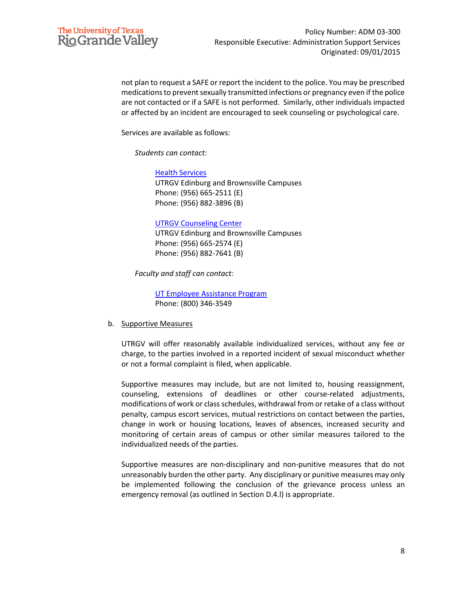

not plan to request a SAFE or report the incident to the police. You may be prescribed medications to prevent sexually transmitted infections or pregnancy even if the police are not contacted or if a SAFE is not performed. Similarly, other individuals impacted or affected by an incident are encouraged to seek counseling or psychological care.

Services are available as follows:

*Students can contact:*

[Health Services](https://www.utrgv.edu/health-services/index.htm) UTRGV Edinburg and Brownsville Campuses Phone: (956) 665-2511 (E) Phone: (956) 882-3896 (B)

#### [UTRGV Counseling Center](https://www.utrgv.edu/counseling/services/counseling/index.htm)

UTRGV Edinburg and Brownsville Campuses Phone: (956) 665-2574 (E) Phone: (956) 882-7641 (B)

*Faculty and staff can contact:*

[UT Employee Assistance Program](https://www.utrgv.edu/hr/benefits/uteap/index.htm) Phone: (800) 346-3549

#### b. Supportive Measures

UTRGV will offer reasonably available individualized services, without any fee or charge, to the parties involved in a reported incident of sexual misconduct whether or not a formal complaint is filed, when applicable.

Supportive measures may include, but are not limited to, housing reassignment, counseling, extensions of deadlines or other course-related adjustments, modifications of work or class schedules, withdrawal from or retake of a class without penalty, campus escort services, mutual restrictions on contact between the parties, change in work or housing locations, leaves of absences, increased security and monitoring of certain areas of campus or other similar measures tailored to the individualized needs of the parties.

Supportive measures are non-disciplinary and non-punitive measures that do not unreasonably burden the other party. Any disciplinary or punitive measures may only be implemented following the conclusion of the grievance process unless an emergency removal (as outlined in Section D.4.l) is appropriate.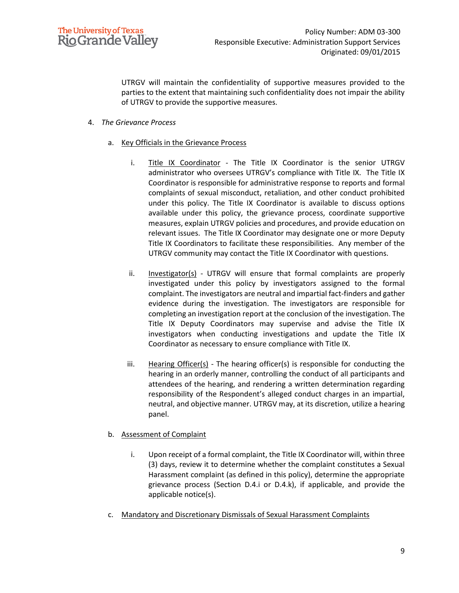

UTRGV will maintain the confidentiality of supportive measures provided to the parties to the extent that maintaining such confidentiality does not impair the ability of UTRGV to provide the supportive measures.

- 4. *The Grievance Process*
	- a. Key Officials in the Grievance Process
		- i. Title IX Coordinator The Title IX Coordinator is the senior UTRGV administrator who oversees UTRGV's compliance with Title IX. The Title IX Coordinator is responsible for administrative response to reports and formal complaints of sexual misconduct, retaliation, and other conduct prohibited under this policy. The Title IX Coordinator is available to discuss options available under this policy, the grievance process, coordinate supportive measures, explain UTRGV policies and procedures, and provide education on relevant issues. The Title IX Coordinator may designate one or more Deputy Title IX Coordinators to facilitate these responsibilities. Any member of the UTRGV community may contact the Title IX Coordinator with questions.
		- ii. Investigator(s) UTRGV will ensure that formal complaints are properly investigated under this policy by investigators assigned to the formal complaint. The investigators are neutral and impartial fact-finders and gather evidence during the investigation. The investigators are responsible for completing an investigation report at the conclusion of the investigation. The Title IX Deputy Coordinators may supervise and advise the Title IX investigators when conducting investigations and update the Title IX Coordinator as necessary to ensure compliance with Title IX.
		- iii. Hearing Officer(s) The hearing officer(s) is responsible for conducting the hearing in an orderly manner, controlling the conduct of all participants and attendees of the hearing, and rendering a written determination regarding responsibility of the Respondent's alleged conduct charges in an impartial, neutral, and objective manner. UTRGV may, at its discretion, utilize a hearing panel.

#### b. Assessment of Complaint

- i. Upon receipt of a formal complaint, the Title IX Coordinator will, within three (3) days, review it to determine whether the complaint constitutes a Sexual Harassment complaint (as defined in this policy), determine the appropriate grievance process (Section D.4.i or D.4.k), if applicable, and provide the applicable notice(s).
- c. Mandatory and Discretionary Dismissals of Sexual Harassment Complaints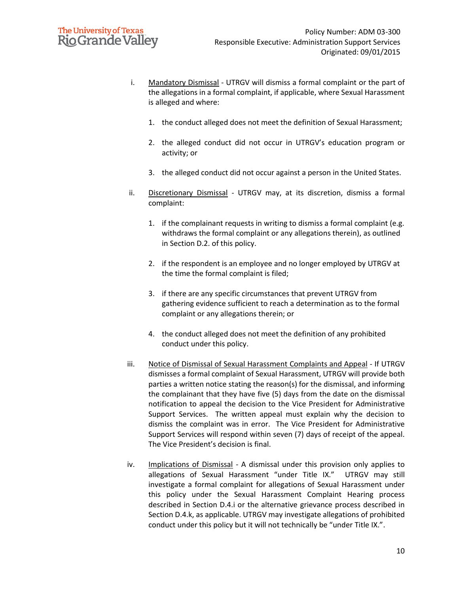# **The University of Texas Rio Grande Valley**

- i. Mandatory Dismissal UTRGV will dismiss a formal complaint or the part of the allegations in a formal complaint, if applicable, where Sexual Harassment is alleged and where:
	- 1. the conduct alleged does not meet the definition of Sexual Harassment;
	- 2. the alleged conduct did not occur in UTRGV's education program or activity; or
	- 3. the alleged conduct did not occur against a person in the United States.
- ii. Discretionary Dismissal UTRGV may, at its discretion, dismiss a formal complaint:
	- 1. if the complainant requests in writing to dismiss a formal complaint (e.g. withdraws the formal complaint or any allegations therein), as outlined in Section D.2. of this policy.
	- 2. if the respondent is an employee and no longer employed by UTRGV at the time the formal complaint is filed;
	- 3. if there are any specific circumstances that prevent UTRGV from gathering evidence sufficient to reach a determination as to the formal complaint or any allegations therein; or
	- 4. the conduct alleged does not meet the definition of any prohibited conduct under this policy.
- iii. Notice of Dismissal of Sexual Harassment Complaints and Appeal If UTRGV dismisses a formal complaint of Sexual Harassment, UTRGV will provide both parties a written notice stating the reason(s) for the dismissal, and informing the complainant that they have five (5) days from the date on the dismissal notification to appeal the decision to the Vice President for Administrative Support Services. The written appeal must explain why the decision to dismiss the complaint was in error. The Vice President for Administrative Support Services will respond within seven (7) days of receipt of the appeal. The Vice President's decision is final.
- iv. Implications of Dismissal A dismissal under this provision only applies to allegations of Sexual Harassment "under Title IX." UTRGV may still investigate a formal complaint for allegations of Sexual Harassment under this policy under the Sexual Harassment Complaint Hearing process described in Section D.4.i or the alternative grievance process described in Section D.4.k, as applicable. UTRGV may investigate allegations of prohibited conduct under this policy but it will not technically be "under Title IX.".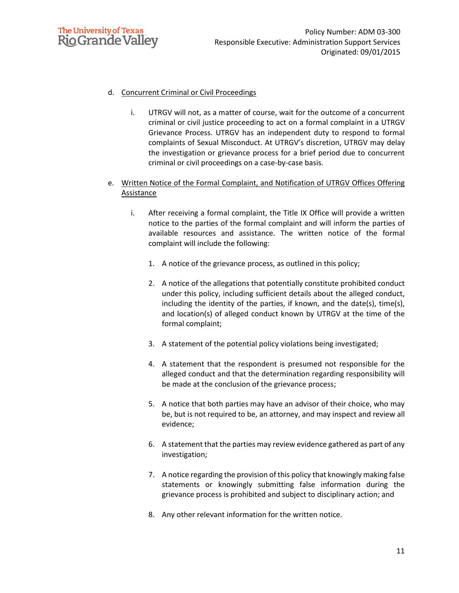

### d. Concurrent Criminal or Civil Proceedings

- i. UTRGV will not, as a matter of course, wait for the outcome of a concurrent criminal or civil justice proceeding to act on a formal complaint in a UTRGV Grievance Process. UTRGV has an independent duty to respond to formal complaints of Sexual Misconduct. At UTRGV's discretion, UTRGV may delay the investigation or grievance process for a brief period due to concurrent criminal or civil proceedings on a case-by-case basis.
- e. Written Notice of the Formal Complaint, and Notification of UTRGV Offices Offering **Assistance** 
	- i. After receiving a formal complaint, the Title IX Office will provide a written notice to the parties of the formal complaint and will inform the parties of available resources and assistance. The written notice of the formal complaint will include the following:
		- 1. A notice of the grievance process, as outlined in this policy;
		- 2. A notice of the allegations that potentially constitute prohibited conduct under this policy, including sufficient details about the alleged conduct, including the identity of the parties, if known, and the date(s), time(s), and location(s) of alleged conduct known by UTRGV at the time of the formal complaint;
		- 3. A statement of the potential policy violations being investigated;
		- 4. A statement that the respondent is presumed not responsible for the alleged conduct and that the determination regarding responsibility will be made at the conclusion of the grievance process;
		- 5. A notice that both parties may have an advisor of their choice, who may be, but is not required to be, an attorney, and may inspect and review all evidence;
		- 6. A statement that the parties may review evidence gathered as part of any investigation;
		- 7. A notice regarding the provision of this policy that knowingly making false statements or knowingly submitting false information during the grievance process is prohibited and subject to disciplinary action; and
		- 8. Any other relevant information for the written notice.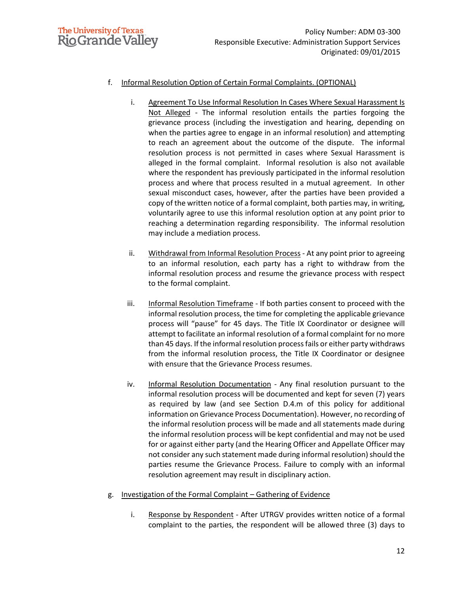

## f. Informal Resolution Option of Certain Formal Complaints. (OPTIONAL)

- i. Agreement To Use Informal Resolution In Cases Where Sexual Harassment Is Not Alleged - The informal resolution entails the parties forgoing the grievance process (including the investigation and hearing, depending on when the parties agree to engage in an informal resolution) and attempting to reach an agreement about the outcome of the dispute. The informal resolution process is not permitted in cases where Sexual Harassment is alleged in the formal complaint. Informal resolution is also not available where the respondent has previously participated in the informal resolution process and where that process resulted in a mutual agreement. In other sexual misconduct cases, however, after the parties have been provided a copy of the written notice of a formal complaint, both parties may, in writing, voluntarily agree to use this informal resolution option at any point prior to reaching a determination regarding responsibility. The informal resolution may include a mediation process.
- ii. Withdrawal from Informal Resolution Process At any point prior to agreeing to an informal resolution, each party has a right to withdraw from the informal resolution process and resume the grievance process with respect to the formal complaint.
- iii. Informal Resolution Timeframe If both parties consent to proceed with the informal resolution process, the time for completing the applicable grievance process will "pause" for 45 days. The Title IX Coordinator or designee will attempt to facilitate an informal resolution of a formal complaint for no more than 45 days. If the informal resolution process fails or either party withdraws from the informal resolution process, the Title IX Coordinator or designee with ensure that the Grievance Process resumes.
- iv. Informal Resolution Documentation Any final resolution pursuant to the informal resolution process will be documented and kept for seven (7) years as required by law (and see Section D.4.m of this policy for additional information on Grievance Process Documentation). However, no recording of the informal resolution process will be made and all statements made during the informal resolution process will be kept confidential and may not be used for or against either party (and the Hearing Officer and Appellate Officer may not consider any such statement made during informal resolution) should the parties resume the Grievance Process. Failure to comply with an informal resolution agreement may result in disciplinary action.

### g. Investigation of the Formal Complaint – Gathering of Evidence

i. Response by Respondent - After UTRGV provides written notice of a formal complaint to the parties, the respondent will be allowed three (3) days to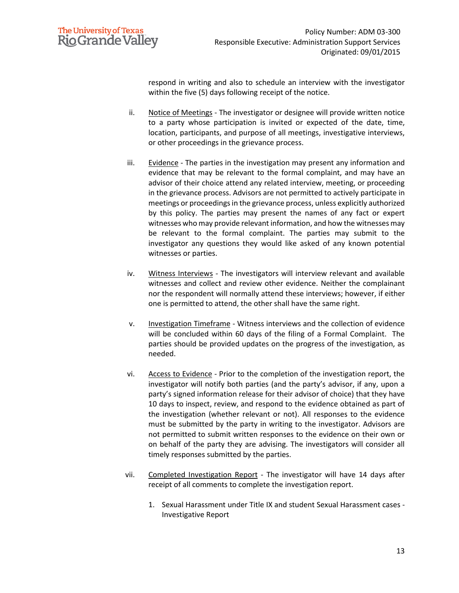

respond in writing and also to schedule an interview with the investigator within the five (5) days following receipt of the notice.

- ii. Notice of Meetings The investigator or designee will provide written notice to a party whose participation is invited or expected of the date, time, location, participants, and purpose of all meetings, investigative interviews, or other proceedings in the grievance process.
- iii. Evidence The parties in the investigation may present any information and evidence that may be relevant to the formal complaint, and may have an advisor of their choice attend any related interview, meeting, or proceeding in the grievance process. Advisors are not permitted to actively participate in meetings or proceedings in the grievance process, unless explicitly authorized by this policy. The parties may present the names of any fact or expert witnesses who may provide relevant information, and how the witnesses may be relevant to the formal complaint. The parties may submit to the investigator any questions they would like asked of any known potential witnesses or parties.
- iv. Witness Interviews The investigators will interview relevant and available witnesses and collect and review other evidence. Neither the complainant nor the respondent will normally attend these interviews; however, if either one is permitted to attend, the other shall have the same right.
- v. Investigation Timeframe Witness interviews and the collection of evidence will be concluded within 60 days of the filing of a Formal Complaint. The parties should be provided updates on the progress of the investigation, as needed.
- vi. Access to Evidence Prior to the completion of the investigation report, the investigator will notify both parties (and the party's advisor, if any, upon a party's signed information release for their advisor of choice) that they have 10 days to inspect, review, and respond to the evidence obtained as part of the investigation (whether relevant or not). All responses to the evidence must be submitted by the party in writing to the investigator. Advisors are not permitted to submit written responses to the evidence on their own or on behalf of the party they are advising. The investigators will consider all timely responses submitted by the parties.
- vii. Completed Investigation Report The investigator will have 14 days after receipt of all comments to complete the investigation report.
	- 1. Sexual Harassment under Title IX and student Sexual Harassment cases Investigative Report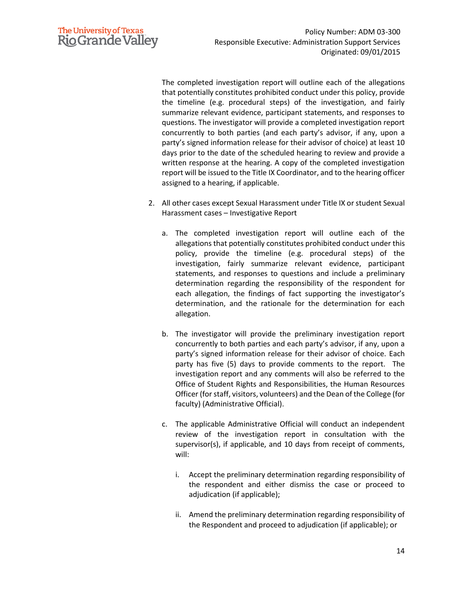

The completed investigation report will outline each of the allegations that potentially constitutes prohibited conduct under this policy, provide the timeline (e.g. procedural steps) of the investigation, and fairly summarize relevant evidence, participant statements, and responses to questions. The investigator will provide a completed investigation report concurrently to both parties (and each party's advisor, if any, upon a party's signed information release for their advisor of choice) at least 10 days prior to the date of the scheduled hearing to review and provide a written response at the hearing. A copy of the completed investigation report will be issued to the Title IX Coordinator, and to the hearing officer assigned to a hearing, if applicable.

- 2. All other cases except Sexual Harassment under Title IX or student Sexual Harassment cases – Investigative Report
	- a. The completed investigation report will outline each of the allegations that potentially constitutes prohibited conduct under this policy, provide the timeline (e.g. procedural steps) of the investigation, fairly summarize relevant evidence, participant statements, and responses to questions and include a preliminary determination regarding the responsibility of the respondent for each allegation, the findings of fact supporting the investigator's determination, and the rationale for the determination for each allegation.
	- b. The investigator will provide the preliminary investigation report concurrently to both parties and each party's advisor, if any, upon a party's signed information release for their advisor of choice. Each party has five (5) days to provide comments to the report. The investigation report and any comments will also be referred to the Office of Student Rights and Responsibilities, the Human Resources Officer (for staff, visitors, volunteers) and the Dean of the College (for faculty) (Administrative Official).
	- c. The applicable Administrative Official will conduct an independent review of the investigation report in consultation with the supervisor(s), if applicable, and 10 days from receipt of comments, will:
		- i. Accept the preliminary determination regarding responsibility of the respondent and either dismiss the case or proceed to adjudication (if applicable);
		- ii. Amend the preliminary determination regarding responsibility of the Respondent and proceed to adjudication (if applicable); or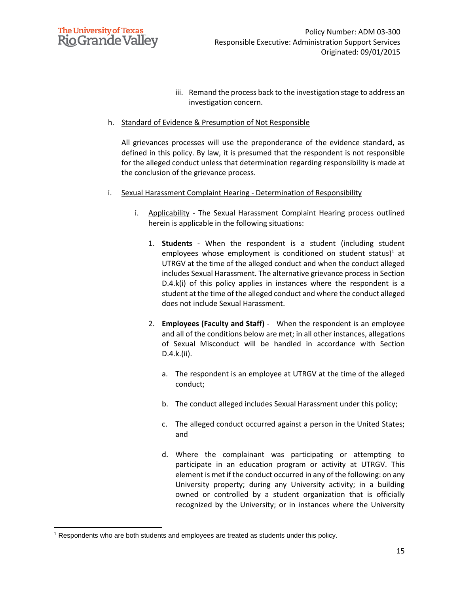

iii. Remand the process back to the investigation stage to address an investigation concern.

#### h. Standard of Evidence & Presumption of Not Responsible

All grievances processes will use the preponderance of the evidence standard, as defined in this policy. By law, it is presumed that the respondent is not responsible for the alleged conduct unless that determination regarding responsibility is made at the conclusion of the grievance process.

- i. Sexual Harassment Complaint Hearing Determination of Responsibility
	- i. Applicability The Sexual Harassment Complaint Hearing process outlined herein is applicable in the following situations:
		- 1. **Students** When the respondent is a student (including student employees whose employment is conditioned on student status)<sup>1</sup> at UTRGV at the time of the alleged conduct and when the conduct alleged includes Sexual Harassment. The alternative grievance process in Section D.4.k(i) of this policy applies in instances where the respondent is a student at the time of the alleged conduct and where the conduct alleged does not include Sexual Harassment.
		- 2. **Employees (Faculty and Staff)** When the respondent is an employee and all of the conditions below are met; in all other instances, allegations of Sexual Misconduct will be handled in accordance with Section D.4.k.(ii).
			- a. The respondent is an employee at UTRGV at the time of the alleged conduct;
			- b. The conduct alleged includes Sexual Harassment under this policy;
			- c. The alleged conduct occurred against a person in the United States; and
			- d. Where the complainant was participating or attempting to participate in an education program or activity at UTRGV. This element is met if the conduct occurred in any of the following: on any University property; during any University activity; in a building owned or controlled by a student organization that is officially recognized by the University; or in instances where the University

<sup>1</sup> Respondents who are both students and employees are treated as students under this policy.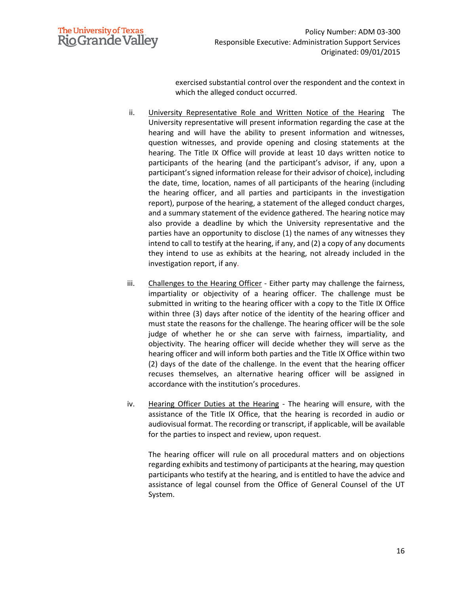

exercised substantial control over the respondent and the context in which the alleged conduct occurred.

- ii. University Representative Role and Written Notice of the Hearing The University representative will present information regarding the case at the hearing and will have the ability to present information and witnesses, question witnesses, and provide opening and closing statements at the hearing. The Title IX Office will provide at least 10 days written notice to participants of the hearing (and the participant's advisor, if any, upon a participant's signed information release for their advisor of choice), including the date, time, location, names of all participants of the hearing (including the hearing officer, and all parties and participants in the investigation report), purpose of the hearing, a statement of the alleged conduct charges, and a summary statement of the evidence gathered. The hearing notice may also provide a deadline by which the University representative and the parties have an opportunity to disclose (1) the names of any witnesses they intend to call to testify at the hearing, if any, and (2) a copy of any documents they intend to use as exhibits at the hearing, not already included in the investigation report, if any.
- iii. Challenges to the Hearing Officer Either party may challenge the fairness, impartiality or objectivity of a hearing officer. The challenge must be submitted in writing to the hearing officer with a copy to the Title IX Office within three (3) days after notice of the identity of the hearing officer and must state the reasons for the challenge. The hearing officer will be the sole judge of whether he or she can serve with fairness, impartiality, and objectivity. The hearing officer will decide whether they will serve as the hearing officer and will inform both parties and the Title IX Office within two (2) days of the date of the challenge. In the event that the hearing officer recuses themselves, an alternative hearing officer will be assigned in accordance with the institution's procedures.
- iv. Hearing Officer Duties at the Hearing The hearing will ensure, with the assistance of the Title IX Office, that the hearing is recorded in audio or audiovisual format. The recording or transcript, if applicable, will be available for the parties to inspect and review, upon request.

The hearing officer will rule on all procedural matters and on objections regarding exhibits and testimony of participants at the hearing, may question participants who testify at the hearing, and is entitled to have the advice and assistance of legal counsel from the Office of General Counsel of the UT System.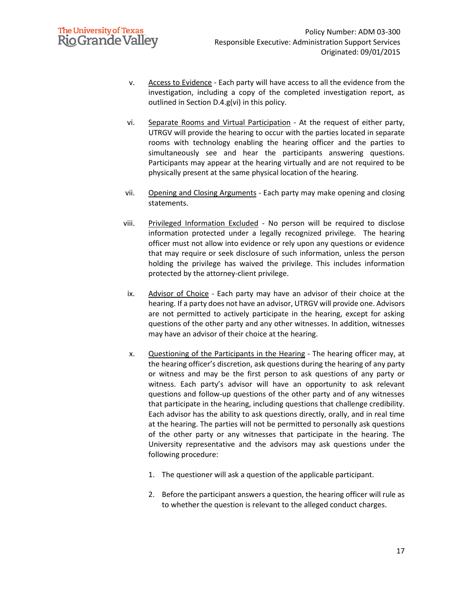- v. Access to Evidence Each party will have access to all the evidence from the investigation, including a copy of the completed investigation report, as outlined in Section D.4.g(vi) in this policy.
- vi. Separate Rooms and Virtual Participation At the request of either party, UTRGV will provide the hearing to occur with the parties located in separate rooms with technology enabling the hearing officer and the parties to simultaneously see and hear the participants answering questions. Participants may appear at the hearing virtually and are not required to be physically present at the same physical location of the hearing.
- vii. Opening and Closing Arguments Each party may make opening and closing statements.
- viii. Privileged Information Excluded No person will be required to disclose information protected under a legally recognized privilege. The hearing officer must not allow into evidence or rely upon any questions or evidence that may require or seek disclosure of such information, unless the person holding the privilege has waived the privilege. This includes information protected by the attorney-client privilege.
- ix. Advisor of Choice Each party may have an advisor of their choice at the hearing. If a party does not have an advisor, UTRGV will provide one. Advisors are not permitted to actively participate in the hearing, except for asking questions of the other party and any other witnesses. In addition, witnesses may have an advisor of their choice at the hearing.
- x. Questioning of the Participants in the Hearing The hearing officer may, at the hearing officer's discretion, ask questions during the hearing of any party or witness and may be the first person to ask questions of any party or witness. Each party's advisor will have an opportunity to ask relevant questions and follow-up questions of the other party and of any witnesses that participate in the hearing, including questions that challenge credibility. Each advisor has the ability to ask questions directly, orally, and in real time at the hearing. The parties will not be permitted to personally ask questions of the other party or any witnesses that participate in the hearing. The University representative and the advisors may ask questions under the following procedure:
	- 1. The questioner will ask a question of the applicable participant.
	- 2. Before the participant answers a question, the hearing officer will rule as to whether the question is relevant to the alleged conduct charges.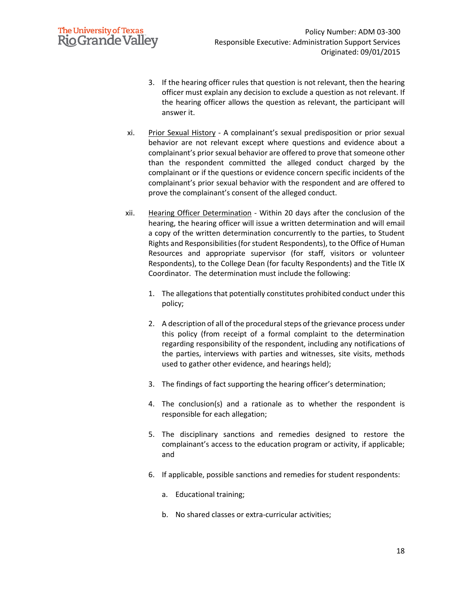# **The University of Texas Rio Grande Valley**

- 3. If the hearing officer rules that question is not relevant, then the hearing officer must explain any decision to exclude a question as not relevant. If the hearing officer allows the question as relevant, the participant will answer it.
- xi. Prior Sexual History A complainant's sexual predisposition or prior sexual behavior are not relevant except where questions and evidence about a complainant's prior sexual behavior are offered to prove that someone other than the respondent committed the alleged conduct charged by the complainant or if the questions or evidence concern specific incidents of the complainant's prior sexual behavior with the respondent and are offered to prove the complainant's consent of the alleged conduct.
- xii. Hearing Officer Determination Within 20 days after the conclusion of the hearing, the hearing officer will issue a written determination and will email a copy of the written determination concurrently to the parties, to Student Rights and Responsibilities (for student Respondents), to the Office of Human Resources and appropriate supervisor (for staff, visitors or volunteer Respondents), to the College Dean (for faculty Respondents) and the Title IX Coordinator. The determination must include the following:
	- 1. The allegations that potentially constitutes prohibited conduct under this policy;
	- 2. A description of all of the procedural steps of the grievance process under this policy (from receipt of a formal complaint to the determination regarding responsibility of the respondent, including any notifications of the parties, interviews with parties and witnesses, site visits, methods used to gather other evidence, and hearings held);
	- 3. The findings of fact supporting the hearing officer's determination;
	- 4. The conclusion(s) and a rationale as to whether the respondent is responsible for each allegation;
	- 5. The disciplinary sanctions and remedies designed to restore the complainant's access to the education program or activity, if applicable; and
	- 6. If applicable, possible sanctions and remedies for student respondents:
		- a. Educational training;
		- b. No shared classes or extra-curricular activities;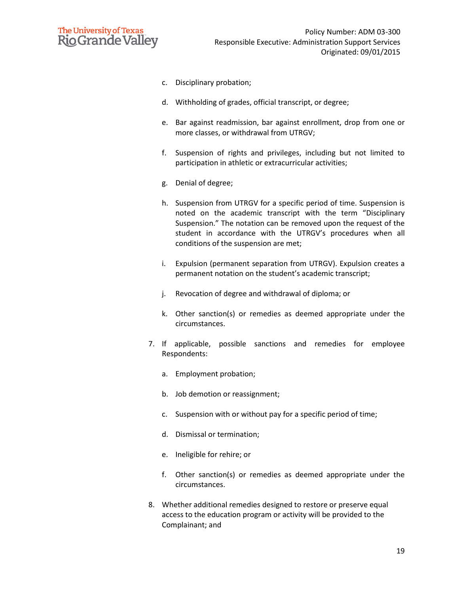

- c. Disciplinary probation;
- d. Withholding of grades, official transcript, or degree;
- e. Bar against readmission, bar against enrollment, drop from one or more classes, or withdrawal from UTRGV;
- f. Suspension of rights and privileges, including but not limited to participation in athletic or extracurricular activities;
- g. Denial of degree;
- h. Suspension from UTRGV for a specific period of time. Suspension is noted on the academic transcript with the term "Disciplinary Suspension." The notation can be removed upon the request of the student in accordance with the UTRGV's procedures when all conditions of the suspension are met;
- i. Expulsion (permanent separation from UTRGV). Expulsion creates a permanent notation on the student's academic transcript;
- j. Revocation of degree and withdrawal of diploma; or
- k. Other sanction(s) or remedies as deemed appropriate under the circumstances.
- 7. If applicable, possible sanctions and remedies for employee Respondents:
	- a. Employment probation;
	- b. Job demotion or reassignment;
	- c. Suspension with or without pay for a specific period of time;
	- d. Dismissal or termination;
	- e. Ineligible for rehire; or
	- f. Other sanction(s) or remedies as deemed appropriate under the circumstances.
- 8. Whether additional remedies designed to restore or preserve equal access to the education program or activity will be provided to the Complainant; and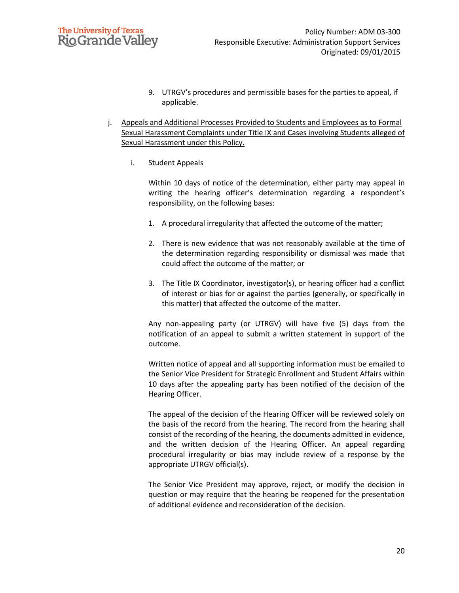## **The University of Texas Rio Grande Valley**

- 9. UTRGV's procedures and permissible bases for the parties to appeal, if applicable.
- j. Appeals and Additional Processes Provided to Students and Employees as to Formal Sexual Harassment Complaints under Title IX and Cases involving Students alleged of Sexual Harassment under this Policy.
	- i. Student Appeals

Within 10 days of notice of the determination, either party may appeal in writing the hearing officer's determination regarding a respondent's responsibility, on the following bases:

- 1. A procedural irregularity that affected the outcome of the matter;
- 2. There is new evidence that was not reasonably available at the time of the determination regarding responsibility or dismissal was made that could affect the outcome of the matter; or
- 3. The Title IX Coordinator, investigator(s), or hearing officer had a conflict of interest or bias for or against the parties (generally, or specifically in this matter) that affected the outcome of the matter.

Any non-appealing party (or UTRGV) will have five (5) days from the notification of an appeal to submit a written statement in support of the outcome.

Written notice of appeal and all supporting information must be emailed to the Senior Vice President for Strategic Enrollment and Student Affairs within 10 days after the appealing party has been notified of the decision of the Hearing Officer.

The appeal of the decision of the Hearing Officer will be reviewed solely on the basis of the record from the hearing. The record from the hearing shall consist of the recording of the hearing, the documents admitted in evidence, and the written decision of the Hearing Officer. An appeal regarding procedural irregularity or bias may include review of a response by the appropriate UTRGV official(s).

The Senior Vice President may approve, reject, or modify the decision in question or may require that the hearing be reopened for the presentation of additional evidence and reconsideration of the decision.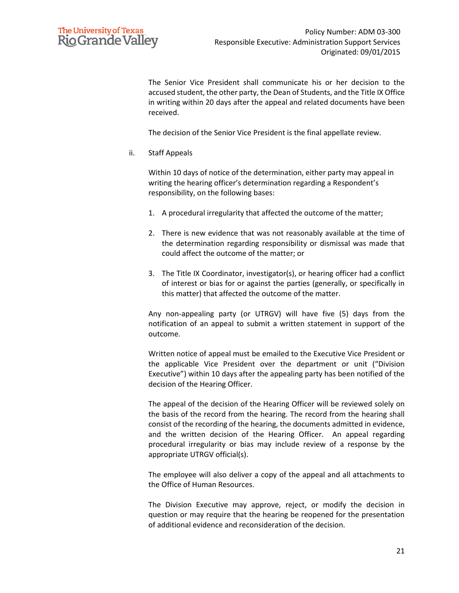

The Senior Vice President shall communicate his or her decision to the accused student, the other party, the Dean of Students, and the Title IX Office in writing within 20 days after the appeal and related documents have been received.

The decision of the Senior Vice President is the final appellate review.

ii. Staff Appeals

Within 10 days of notice of the determination, either party may appeal in writing the hearing officer's determination regarding a Respondent's responsibility, on the following bases:

- 1. A procedural irregularity that affected the outcome of the matter;
- 2. There is new evidence that was not reasonably available at the time of the determination regarding responsibility or dismissal was made that could affect the outcome of the matter; or
- 3. The Title IX Coordinator, investigator(s), or hearing officer had a conflict of interest or bias for or against the parties (generally, or specifically in this matter) that affected the outcome of the matter.

Any non-appealing party (or UTRGV) will have five (5) days from the notification of an appeal to submit a written statement in support of the outcome.

Written notice of appeal must be emailed to the Executive Vice President or the applicable Vice President over the department or unit ("Division Executive") within 10 days after the appealing party has been notified of the decision of the Hearing Officer.

The appeal of the decision of the Hearing Officer will be reviewed solely on the basis of the record from the hearing. The record from the hearing shall consist of the recording of the hearing, the documents admitted in evidence, and the written decision of the Hearing Officer. An appeal regarding procedural irregularity or bias may include review of a response by the appropriate UTRGV official(s).

The employee will also deliver a copy of the appeal and all attachments to the Office of Human Resources.

The Division Executive may approve, reject, or modify the decision in question or may require that the hearing be reopened for the presentation of additional evidence and reconsideration of the decision.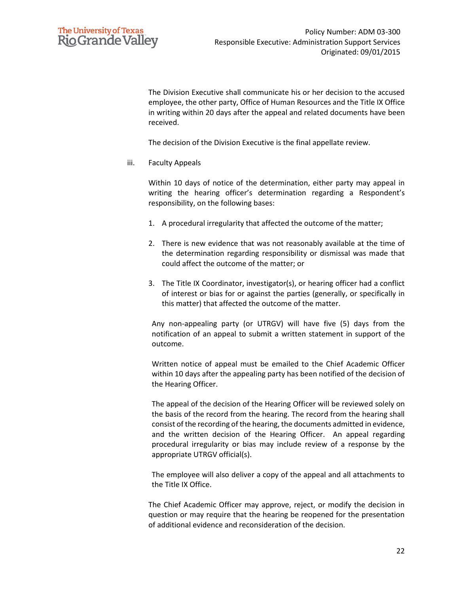

The Division Executive shall communicate his or her decision to the accused employee, the other party, Office of Human Resources and the Title IX Office in writing within 20 days after the appeal and related documents have been received.

The decision of the Division Executive is the final appellate review.

iii. Faculty Appeals

Within 10 days of notice of the determination, either party may appeal in writing the hearing officer's determination regarding a Respondent's responsibility, on the following bases:

- 1. A procedural irregularity that affected the outcome of the matter;
- 2. There is new evidence that was not reasonably available at the time of the determination regarding responsibility or dismissal was made that could affect the outcome of the matter; or
- 3. The Title IX Coordinator, investigator(s), or hearing officer had a conflict of interest or bias for or against the parties (generally, or specifically in this matter) that affected the outcome of the matter.

Any non-appealing party (or UTRGV) will have five (5) days from the notification of an appeal to submit a written statement in support of the outcome.

Written notice of appeal must be emailed to the Chief Academic Officer within 10 days after the appealing party has been notified of the decision of the Hearing Officer.

The appeal of the decision of the Hearing Officer will be reviewed solely on the basis of the record from the hearing. The record from the hearing shall consist of the recording of the hearing, the documents admitted in evidence, and the written decision of the Hearing Officer. An appeal regarding procedural irregularity or bias may include review of a response by the appropriate UTRGV official(s).

The employee will also deliver a copy of the appeal and all attachments to the Title IX Office.

The Chief Academic Officer may approve, reject, or modify the decision in question or may require that the hearing be reopened for the presentation of additional evidence and reconsideration of the decision.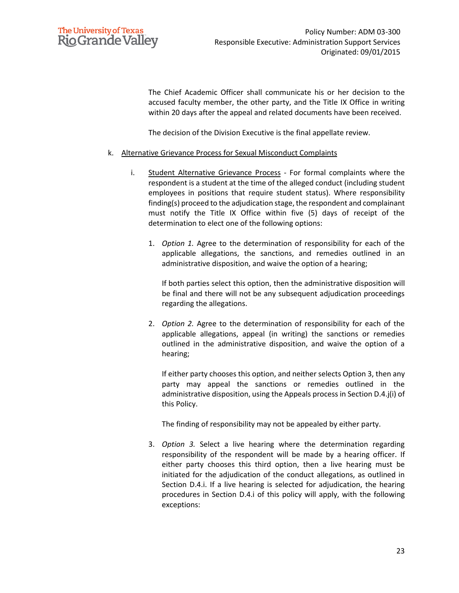

The Chief Academic Officer shall communicate his or her decision to the accused faculty member, the other party, and the Title IX Office in writing within 20 days after the appeal and related documents have been received.

The decision of the Division Executive is the final appellate review.

- k. Alternative Grievance Process for Sexual Misconduct Complaints
	- i. Student Alternative Grievance Process For formal complaints where the respondent is a student at the time of the alleged conduct (including student employees in positions that require student status). Where responsibility finding(s) proceed to the adjudication stage, the respondent and complainant must notify the Title IX Office within five (5) days of receipt of the determination to elect one of the following options:
		- 1. *Option 1.* Agree to the determination of responsibility for each of the applicable allegations, the sanctions, and remedies outlined in an administrative disposition, and waive the option of a hearing;

If both parties select this option, then the administrative disposition will be final and there will not be any subsequent adjudication proceedings regarding the allegations.

2. *Option 2.* Agree to the determination of responsibility for each of the applicable allegations, appeal (in writing) the sanctions or remedies outlined in the administrative disposition, and waive the option of a hearing;

If either party chooses this option, and neither selects Option 3, then any party may appeal the sanctions or remedies outlined in the administrative disposition, using the Appeals process in Section D.4.j(i) of this Policy.

The finding of responsibility may not be appealed by either party.

3. *Option 3.* Select a live hearing where the determination regarding responsibility of the respondent will be made by a hearing officer. If either party chooses this third option, then a live hearing must be initiated for the adjudication of the conduct allegations, as outlined in Section D.4.i. If a live hearing is selected for adjudication, the hearing procedures in Section D.4.i of this policy will apply, with the following exceptions: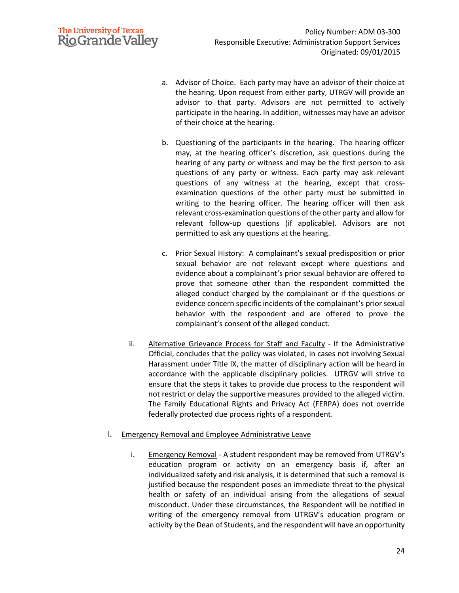# **The University of Texas Rio Grande Valley**

- a. Advisor of Choice. Each party may have an advisor of their choice at the hearing. Upon request from either party, UTRGV will provide an advisor to that party. Advisors are not permitted to actively participate in the hearing. In addition, witnesses may have an advisor of their choice at the hearing.
- b. Questioning of the participants in the hearing. The hearing officer may, at the hearing officer's discretion, ask questions during the hearing of any party or witness and may be the first person to ask questions of any party or witness. Each party may ask relevant questions of any witness at the hearing, except that crossexamination questions of the other party must be submitted in writing to the hearing officer. The hearing officer will then ask relevant cross-examination questions of the other party and allow for relevant follow-up questions (if applicable). Advisors are not permitted to ask any questions at the hearing.
- c. Prior Sexual History: A complainant's sexual predisposition or prior sexual behavior are not relevant except where questions and evidence about a complainant's prior sexual behavior are offered to prove that someone other than the respondent committed the alleged conduct charged by the complainant or if the questions or evidence concern specific incidents of the complainant's prior sexual behavior with the respondent and are offered to prove the complainant's consent of the alleged conduct.
- ii. Alternative Grievance Process for Staff and Faculty If the Administrative Official, concludes that the policy was violated, in cases not involving Sexual Harassment under Title IX, the matter of disciplinary action will be heard in accordance with the applicable disciplinary policies. UTRGV will strive to ensure that the steps it takes to provide due process to the respondent will not restrict or delay the supportive measures provided to the alleged victim. The Family Educational Rights and Privacy Act (FERPA) does not override federally protected due process rights of a respondent.

### l. Emergency Removal and Employee Administrative Leave

i. Emergency Removal - A student respondent may be removed from UTRGV's education program or activity on an emergency basis if, after an individualized safety and risk analysis, it is determined that such a removal is justified because the respondent poses an immediate threat to the physical health or safety of an individual arising from the allegations of sexual misconduct. Under these circumstances, the Respondent will be notified in writing of the emergency removal from UTRGV's education program or activity by the Dean of Students, and the respondent will have an opportunity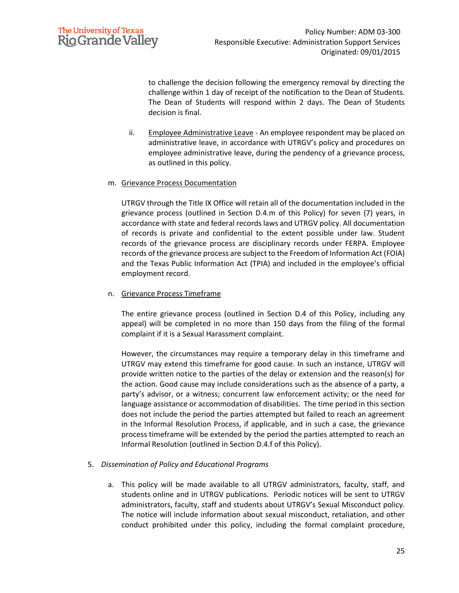

to challenge the decision following the emergency removal by directing the challenge within 1 day of receipt of the notification to the Dean of Students. The Dean of Students will respond within 2 days. The Dean of Students decision is final.

ii. Employee Administrative Leave - An employee respondent may be placed on administrative leave, in accordance with UTRGV's policy and procedures on employee administrative leave, during the pendency of a grievance process, as outlined in this policy.

#### m. Grievance Process Documentation

UTRGV through the Title IX Office will retain all of the documentation included in the grievance process (outlined in Section D.4.m of this Policy) for seven (7) years, in accordance with state and federal records laws and UTRGV policy. All documentation of records is private and confidential to the extent possible under law. Student records of the grievance process are disciplinary records under FERPA. Employee records of the grievance process are subject to the Freedom of Information Act (FOIA) and the Texas Public Information Act (TPIA) and included in the employee's official employment record.

### n. Grievance Process Timeframe

The entire grievance process (outlined in Section D.4 of this Policy, including any appeal) will be completed in no more than 150 days from the filing of the formal complaint if it is a Sexual Harassment complaint.

However, the circumstances may require a temporary delay in this timeframe and UTRGV may extend this timeframe for good cause. In such an instance, UTRGV will provide written notice to the parties of the delay or extension and the reason(s) for the action. Good cause may include considerations such as the absence of a party, a party's advisor, or a witness; concurrent law enforcement activity; or the need for language assistance or accommodation of disabilities. The time period in this section does not include the period the parties attempted but failed to reach an agreement in the Informal Resolution Process, if applicable, and in such a case, the grievance process timeframe will be extended by the period the parties attempted to reach an Informal Resolution (outlined in Section D.4.f of this Policy).

### 5. *Dissemination of Policy and Educational Programs*

a. This policy will be made available to all UTRGV administrators, faculty, staff, and students online and in UTRGV publications. Periodic notices will be sent to UTRGV administrators, faculty, staff and students about UTRGV's Sexual Misconduct policy. The notice will include information about sexual misconduct, retaliation, and other conduct prohibited under this policy, including the formal complaint procedure,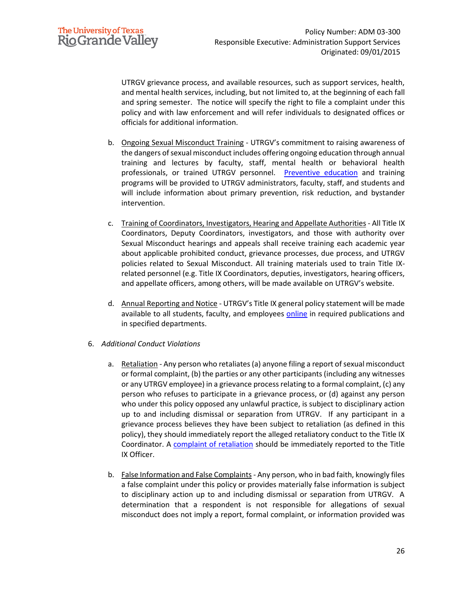UTRGV grievance process, and available resources, such as support services, health, and mental health services, including, but not limited to, at the beginning of each fall and spring semester. The notice will specify the right to file a complaint under this policy and with law enforcement and will refer individuals to designated offices or officials for additional information.

- b. Ongoing Sexual Misconduct Training UTRGV's commitment to raising awareness of the dangers of sexual misconduct includes offering ongoing education through annual training and lectures by faculty, staff, mental health or behavioral health professionals, or trained UTRGV personnel. [Preventive education](http://www.utrgv.edu/ovavp) and training programs will be provided to UTRGV administrators, faculty, staff, and students and will include information about primary prevention, risk reduction, and bystander intervention.
- c. Training of Coordinators, Investigators, Hearing and Appellate Authorities All Title IX Coordinators, Deputy Coordinators, investigators, and those with authority over Sexual Misconduct hearings and appeals shall receive training each academic year about applicable prohibited conduct, grievance processes, due process, and UTRGV policies related to Sexual Misconduct. All training materials used to train Title IXrelated personnel (e.g. Title IX Coordinators, deputies, investigators, hearing officers, and appellate officers, among others, will be made available on UTRGV's website.
- d. Annual Reporting and Notice UTRGV's Title IX general policy statement will be made available to all students, faculty, and employees [online](https://www.utrgv.edu/equity/_files/documents/utrgv-notice-of-non-discrimination.pdf) in required publications and in specified departments.
- 6. *Additional Conduct Violations*
	- a. Retaliation Any person who retaliates (a) anyone filing a report of sexual misconduct or formal complaint, (b) the parties or any other participants (including any witnesses or any UTRGV employee) in a grievance processrelating to a formal complaint, (c) any person who refuses to participate in a grievance process, or (d) against any person who under this policy opposed any unlawful practice, is subject to disciplinary action up to and including dismissal or separation from UTRGV. If any participant in a grievance process believes they have been subject to retaliation (as defined in this policy), they should immediately report the alleged retaliatory conduct to the Title IX Coordinator. A [complaint of retaliation](https://www.utrgv.edu/hop/policies/adm-04-301.pdf) should be immediately reported to the Title IX Officer.
	- b. False Information and False Complaints Any person, who in bad faith, knowingly files a false complaint under this policy or provides materially false information is subject to disciplinary action up to and including dismissal or separation from UTRGV. A determination that a respondent is not responsible for allegations of sexual misconduct does not imply a report, formal complaint, or information provided was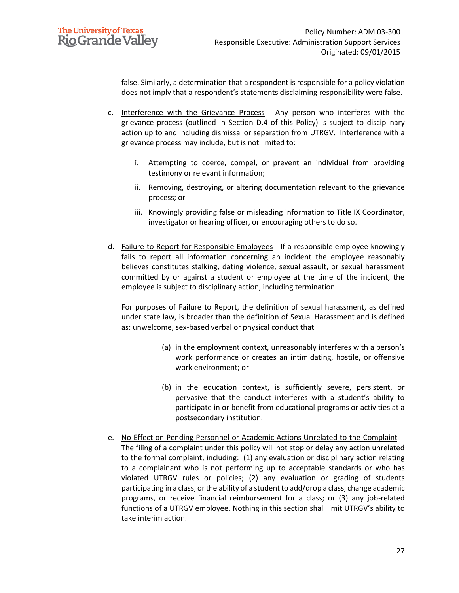

false. Similarly, a determination that a respondent is responsible for a policy violation does not imply that a respondent's statements disclaiming responsibility were false.

- c. Interference with the Grievance Process Any person who interferes with the grievance process (outlined in Section D.4 of this Policy) is subject to disciplinary action up to and including dismissal or separation from UTRGV. Interference with a grievance process may include, but is not limited to:
	- i. Attempting to coerce, compel, or prevent an individual from providing testimony or relevant information;
	- ii. Removing, destroying, or altering documentation relevant to the grievance process; or
	- iii. Knowingly providing false or misleading information to Title IX Coordinator, investigator or hearing officer, or encouraging others to do so.
- d. Failure to Report for Responsible Employees If a responsible employee knowingly fails to report all information concerning an incident the employee reasonably believes constitutes stalking, dating violence, sexual assault, or sexual harassment committed by or against a student or employee at the time of the incident, the employee is subject to disciplinary action, including termination.

For purposes of Failure to Report, the definition of sexual harassment, as defined under state law, is broader than the definition of Sexual Harassment and is defined as: unwelcome, sex-based verbal or physical conduct that

- (a) in the employment context, unreasonably interferes with a person's work performance or creates an intimidating, hostile, or offensive work environment; or
- (b) in the education context, is sufficiently severe, persistent, or pervasive that the conduct interferes with a student's ability to participate in or benefit from educational programs or activities at a postsecondary institution.
- e. No Effect on Pending Personnel or Academic Actions Unrelated to the Complaint The filing of a complaint under this policy will not stop or delay any action unrelated to the formal complaint, including: (1) any evaluation or disciplinary action relating to a complainant who is not performing up to acceptable standards or who has violated UTRGV rules or policies; (2) any evaluation or grading of students participating in a class, or the ability of a student to add/drop a class, change academic programs, or receive financial reimbursement for a class; or (3) any job-related functions of a UTRGV employee. Nothing in this section shall limit UTRGV's ability to take interim action.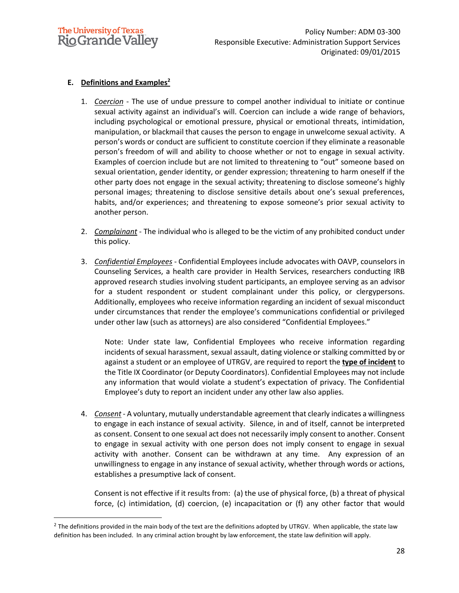

## **E. Definitions and Examples<sup>2</sup>**

- 1. *Coercion* The use of undue pressure to compel another individual to initiate or continue sexual activity against an individual's will. Coercion can include a wide range of behaviors, including psychological or emotional pressure, physical or emotional threats, intimidation, manipulation, or blackmail that causes the person to engage in unwelcome sexual activity. A person's words or conduct are sufficient to constitute coercion if they eliminate a reasonable person's freedom of will and ability to choose whether or not to engage in sexual activity. Examples of coercion include but are not limited to threatening to "out" someone based on sexual orientation, gender identity, or gender expression; threatening to harm oneself if the other party does not engage in the sexual activity; threatening to disclose someone's highly personal images; threatening to disclose sensitive details about one's sexual preferences, habits, and/or experiences; and threatening to expose someone's prior sexual activity to another person.
- 2. *Complainant* The individual who is alleged to be the victim of any prohibited conduct under this policy.
- 3. *Confidential Employees* Confidential Employees include advocates with OAVP, counselors in Counseling Services, a health care provider in Health Services, researchers conducting IRB approved research studies involving student participants, an employee serving as an advisor for a student respondent or student complainant under this policy, or clergypersons. Additionally, employees who receive information regarding an incident of sexual misconduct under circumstances that render the employee's communications confidential or privileged under other law (such as attorneys) are also considered "Confidential Employees."

Note: Under state law, Confidential Employees who receive information regarding incidents of sexual harassment, sexual assault, dating violence or stalking committed by or against a student or an employee of UTRGV, are required to report the **type of incident** to the Title IX Coordinator (or Deputy Coordinators). Confidential Employees may not include any information that would violate a student's expectation of privacy. The Confidential Employee's duty to report an incident under any other law also applies.

4. *Consent* - A voluntary, mutually understandable agreement that clearly indicates a willingness to engage in each instance of sexual activity. Silence, in and of itself, cannot be interpreted as consent. Consent to one sexual act does not necessarily imply consent to another. Consent to engage in sexual activity with one person does not imply consent to engage in sexual activity with another. Consent can be withdrawn at any time. Any expression of an unwillingness to engage in any instance of sexual activity, whether through words or actions, establishes a presumptive lack of consent.

Consent is not effective if it results from: (a) the use of physical force, (b) a threat of physical force, (c) intimidation, (d) coercion, (e) incapacitation or (f) any other factor that would

 $^2$  The definitions provided in the main body of the text are the definitions adopted by UTRGV. When applicable, the state law definition has been included. In any criminal action brought by law enforcement, the state law definition will apply.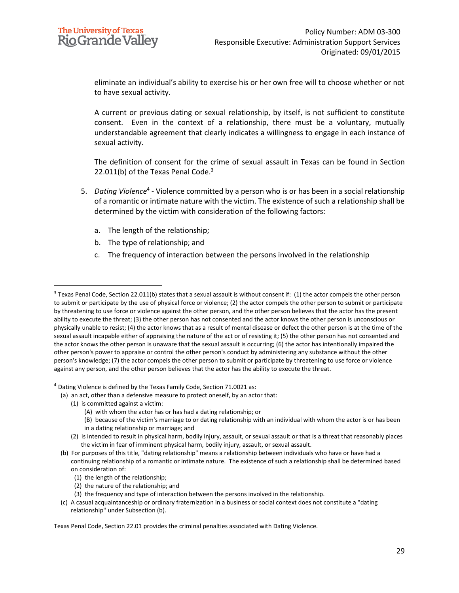eliminate an individual's ability to exercise his or her own free will to choose whether or not to have sexual activity.

A current or previous dating or sexual relationship, by itself, is not sufficient to constitute consent. Even in the context of a relationship, there must be a voluntary, mutually understandable agreement that clearly indicates a willingness to engage in each instance of sexual activity.

The definition of consent for the crime of sexual assault in Texas can be found in Section 22.011(b) of the Texas Penal Code. $3$ 

- 5. *Dating Violence*<sup>4</sup> Violence committed by a person who is or has been in a social relationship of a romantic or intimate nature with the victim. The existence of such a relationship shall be determined by the victim with consideration of the following factors:
	- a. The length of the relationship;
	- b. The type of relationship; and
	- c. The frequency of interaction between the persons involved in the relationship

<sup>4</sup> Dating Violence is defined by the Texas Family Code, Section 71.0021 as:

- (a) an act, other than a defensive measure to protect oneself, by an actor that:
	- (1) is committed against a victim:
		- (A) with whom the actor has or has had a dating relationship; or
		- (B) because of the victim's marriage to or dating relationship with an individual with whom the actor is or has been in a dating relationship or marriage; and
	- (2) is intended to result in physical harm, bodily injury, assault, or sexual assault or that is a threat that reasonably places the victim in fear of imminent physical harm, bodily injury, assault, or sexual assault.
- (b) For purposes of this title, "dating relationship" means a relationship between individuals who have or have had a continuing relationship of a romantic or intimate nature. The existence of such a relationship shall be determined based on consideration of:
	- (1) the length of the relationship;
	- (2) the nature of the relationship; and
	- (3) the frequency and type of interaction between the persons involved in the relationship.
- (c) A casual acquaintanceship or ordinary fraternization in a business or social context does not constitute a "dating relationship" under Subsection (b).

Texas Penal Code, Section 22.01 provides the criminal penalties associated with Dating Violence.

 $3$  Texas Penal Code, Section 22.011(b) states that a sexual assault is without consent if: (1) the actor compels the other person to submit or participate by the use of physical force or violence; (2) the actor compels the other person to submit or participate by threatening to use force or violence against the other person, and the other person believes that the actor has the present ability to execute the threat; (3) the other person has not consented and the actor knows the other person is unconscious or physically unable to resist; (4) the actor knows that as a result of mental disease or defect the other person is at the time of the sexual assault incapable either of appraising the nature of the act or of resisting it; (5) the other person has not consented and the actor knows the other person is unaware that the sexual assault is occurring; (6) the actor has intentionally impaired the other person's power to appraise or control the other person's conduct by administering any substance without the other person's knowledge; (7) the actor compels the other person to submit or participate by threatening to use force or violence against any person, and the other person believes that the actor has the ability to execute the threat.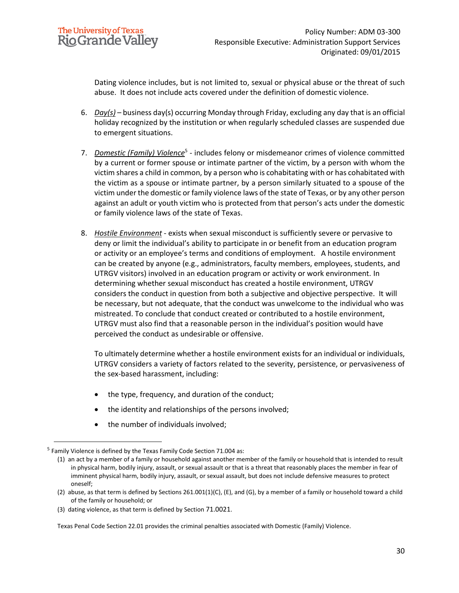Dating violence includes, but is not limited to, sexual or physical abuse or the threat of such abuse. It does not include acts covered under the definition of domestic violence.

- 6. *Day(s)* business day(s) occurring Monday through Friday, excluding any day that is an official holiday recognized by the institution or when regularly scheduled classes are suspended due to emergent situations.
- 7. *Domestic (Family) Violence*<sup>5</sup> includes felony or misdemeanor crimes of violence committed by a current or former spouse or intimate partner of the victim, by a person with whom the victim shares a child in common, by a person who is cohabitating with or has cohabitated with the victim as a spouse or intimate partner, by a person similarly situated to a spouse of the victim under the domestic or family violence laws of the state of Texas, or by any other person against an adult or youth victim who is protected from that person's acts under the domestic or family violence laws of the state of Texas.
- 8. *Hostile Environment* exists when sexual misconduct is sufficiently severe or pervasive to deny or limit the individual's ability to participate in or benefit from an education program or activity or an employee's terms and conditions of employment. A hostile environment can be created by anyone (e.g., administrators, faculty members, employees, students, and UTRGV visitors) involved in an education program or activity or work environment. In determining whether sexual misconduct has created a hostile environment, UTRGV considers the conduct in question from both a subjective and objective perspective. It will be necessary, but not adequate, that the conduct was unwelcome to the individual who was mistreated. To conclude that conduct created or contributed to a hostile environment, UTRGV must also find that a reasonable person in the individual's position would have perceived the conduct as undesirable or offensive.

To ultimately determine whether a hostile environment exists for an individual or individuals, UTRGV considers a variety of factors related to the severity, persistence, or pervasiveness of the sex-based harassment, including:

- the type, frequency, and duration of the conduct;
- the identity and relationships of the persons involved;
- the number of individuals involved;

Texas Penal Code Section 22.01 provides the criminal penalties associated with Domestic (Family) Violence.

<sup>&</sup>lt;sup>5</sup> Family Violence is defined by the Texas Family Code Section 71.004 as:

<sup>(1)</sup> an act by a member of a family or household against another member of the family or household that is intended to result in physical harm, bodily injury, assault, or sexual assault or that is a threat that reasonably places the member in fear of imminent physical harm, bodily injury, assault, or sexual assault, but does not include defensive measures to protect oneself;

<sup>(2)</sup> abuse, as that term is defined by Sections 261.001(1)(C), (E), and (G), by a member of a family or household toward a child of the family or household; or

<sup>(3)</sup> dating violence, as that term is defined by Section 71.0021.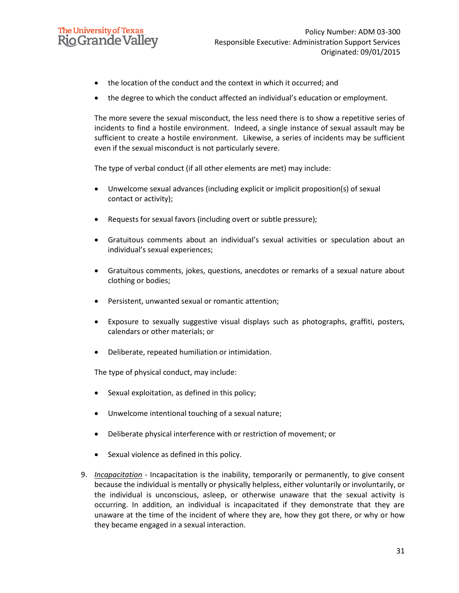## **The University of Texas Rio Grande Valley**

- the location of the conduct and the context in which it occurred; and
- the degree to which the conduct affected an individual's education or employment.

The more severe the sexual misconduct, the less need there is to show a repetitive series of incidents to find a hostile environment. Indeed, a single instance of sexual assault may be sufficient to create a hostile environment. Likewise, a series of incidents may be sufficient even if the sexual misconduct is not particularly severe.

The type of verbal conduct (if all other elements are met) may include:

- Unwelcome sexual advances (including explicit or implicit proposition(s) of sexual contact or activity);
- Requests for sexual favors (including overt or subtle pressure);
- Gratuitous comments about an individual's sexual activities or speculation about an individual's sexual experiences;
- Gratuitous comments, jokes, questions, anecdotes or remarks of a sexual nature about clothing or bodies;
- Persistent, unwanted sexual or romantic attention;
- Exposure to sexually suggestive visual displays such as photographs, graffiti, posters, calendars or other materials; or
- Deliberate, repeated humiliation or intimidation.

The type of physical conduct, may include:

- Sexual exploitation, as defined in this policy;
- Unwelcome intentional touching of a sexual nature;
- Deliberate physical interference with or restriction of movement; or
- Sexual violence as defined in this policy.
- 9. *Incapacitation* Incapacitation is the inability, temporarily or permanently, to give consent because the individual is mentally or physically helpless, either voluntarily or involuntarily, or the individual is unconscious, asleep, or otherwise unaware that the sexual activity is occurring. In addition, an individual is incapacitated if they demonstrate that they are unaware at the time of the incident of where they are, how they got there, or why or how they became engaged in a sexual interaction.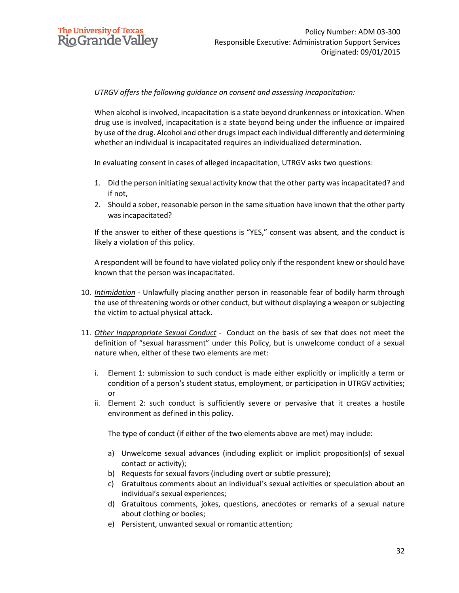### *UTRGV offers the following guidance on consent and assessing incapacitation:*

When alcohol is involved, incapacitation is a state beyond drunkenness or intoxication. When drug use is involved, incapacitation is a state beyond being under the influence or impaired by use of the drug. Alcohol and other drugs impact each individual differently and determining whether an individual is incapacitated requires an individualized determination.

In evaluating consent in cases of alleged incapacitation, UTRGV asks two questions:

- 1. Did the person initiating sexual activity know that the other party was incapacitated? and if not,
- 2. Should a sober, reasonable person in the same situation have known that the other party was incapacitated?

If the answer to either of these questions is "YES," consent was absent, and the conduct is likely a violation of this policy.

A respondent will be found to have violated policy only if the respondent knew or should have known that the person was incapacitated.

- 10. *Intimidation* Unlawfully placing another person in reasonable fear of bodily harm through the use of threatening words or other conduct, but without displaying a weapon or subjecting the victim to actual physical attack.
- 11. *Other Inappropriate Sexual Conduct* Conduct on the basis of sex that does not meet the definition of "sexual harassment" under this Policy, but is unwelcome conduct of a sexual nature when, either of these two elements are met:
	- i. Element 1: submission to such conduct is made either explicitly or implicitly a term or condition of a person's student status, employment, or participation in UTRGV activities; or
	- ii. Element 2: such conduct is sufficiently severe or pervasive that it creates a hostile environment as defined in this policy.

The type of conduct (if either of the two elements above are met) may include:

- a) Unwelcome sexual advances (including explicit or implicit proposition(s) of sexual contact or activity);
- b) Requests for sexual favors (including overt or subtle pressure);
- c) Gratuitous comments about an individual's sexual activities or speculation about an individual's sexual experiences;
- d) Gratuitous comments, jokes, questions, anecdotes or remarks of a sexual nature about clothing or bodies;
- e) Persistent, unwanted sexual or romantic attention;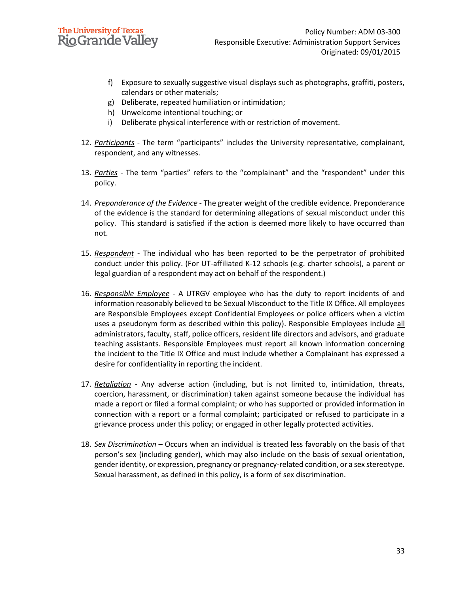

- f) Exposure to sexually suggestive visual displays such as photographs, graffiti, posters, calendars or other materials;
- g) Deliberate, repeated humiliation or intimidation;
- h) Unwelcome intentional touching; or
- i) Deliberate physical interference with or restriction of movement.
- 12. *Participants* The term "participants" includes the University representative, complainant, respondent, and any witnesses.
- 13. *Parties* The term "parties" refers to the "complainant" and the "respondent" under this policy.
- 14. *Preponderance of the Evidence* The greater weight of the credible evidence. Preponderance of the evidence is the standard for determining allegations of sexual misconduct under this policy. This standard is satisfied if the action is deemed more likely to have occurred than not.
- 15. *Respondent* The individual who has been reported to be the perpetrator of prohibited conduct under this policy. (For UT-affiliated K-12 schools (e.g. charter schools), a parent or legal guardian of a respondent may act on behalf of the respondent.)
- 16. *Responsible Employee* A UTRGV employee who has the duty to report incidents of and information reasonably believed to be Sexual Misconduct to the Title IX Office. All employees are Responsible Employees except Confidential Employees or police officers when a victim uses a pseudonym form as described within this policy). Responsible Employees include all administrators, faculty, staff, police officers, resident life directors and advisors, and graduate teaching assistants. Responsible Employees must report all known information concerning the incident to the Title IX Office and must include whether a Complainant has expressed a desire for confidentiality in reporting the incident.
- 17. *Retaliation* Any adverse action (including, but is not limited to, intimidation, threats, coercion, harassment, or discrimination) taken against someone because the individual has made a report or filed a formal complaint; or who has supported or provided information in connection with a report or a formal complaint; participated or refused to participate in a grievance process under this policy; or engaged in other legally protected activities.
- 18. *Sex Discrimination* Occurs when an individual is treated less favorably on the basis of that person's sex (including gender), which may also include on the basis of sexual orientation, gender identity, or expression, pregnancy or pregnancy-related condition, or a sex stereotype. Sexual harassment, as defined in this policy, is a form of sex discrimination.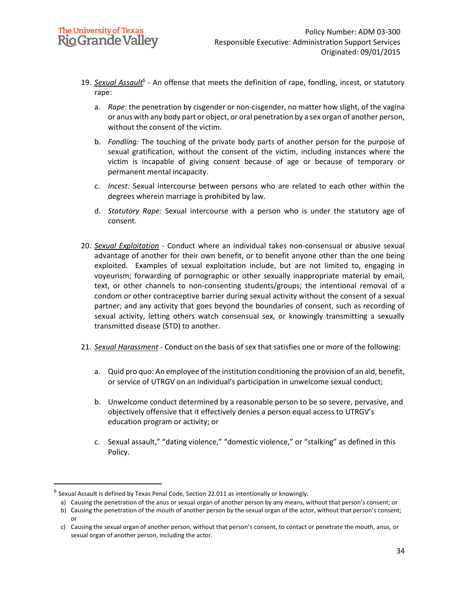- 19. Sexual Assault<sup>6</sup> An offense that meets the definition of rape, fondling, incest, or statutory rape:
	- a. *Rape:* the penetration by cisgender or non-cisgender, no matter how slight, of the vagina or anus with any body part or object, or oral penetration by a sex organ of another person, without the consent of the victim.
	- b. *Fondling:* The touching of the private body parts of another person for the purpose of sexual gratification, without the consent of the victim, including instances where the victim is incapable of giving consent because of age or because of temporary or permanent mental incapacity.
	- c. *Incest:* Sexual intercourse between persons who are related to each other within the degrees wherein marriage is prohibited by law.
	- d. *Statutory Rape:* Sexual intercourse with a person who is under the statutory age of consent.
- 20. *Sexual Exploitation* Conduct where an individual takes non-consensual or abusive sexual advantage of another for their own benefit, or to benefit anyone other than the one being exploited. Examples of sexual exploitation include, but are not limited to, engaging in voyeurism; forwarding of pornographic or other sexually inappropriate material by email, text, or other channels to non-consenting students/groups; the intentional removal of a condom or other contraceptive barrier during sexual activity without the consent of a sexual partner; and any activity that goes beyond the boundaries of consent, such as recording of sexual activity, letting others watch consensual sex, or knowingly transmitting a sexually transmitted disease (STD) to another.
- 21. *Sexual Harassment* Conduct on the basis of sex that satisfies one or more of the following:
	- a. Quid pro quo: An employee of the institution conditioning the provision of an aid, benefit, or service of UTRGV on an individual's participation in unwelcome sexual conduct;
	- b. Unwelcome conduct determined by a reasonable person to be so severe, pervasive, and objectively offensive that it effectively denies a person equal access to UTRGV's education program or activity; or
	- c. Sexual assault," "dating violence," "domestic violence," or "stalking" as defined in this Policy.

or

 $^6$  Sexual Assault is defined by Texas Penal Code, Section 22.011 as intentionally or knowingly:

a) Causing the penetration of the anus or sexual organ of another person by any means, without that person's consent; or

b) Causing the penetration of the mouth of another person by the sexual organ of the actor, without that person's consent;

c) Causing the sexual organ of another person, without that person's consent, to contact or penetrate the mouth, anus, or sexual organ of another person, including the actor.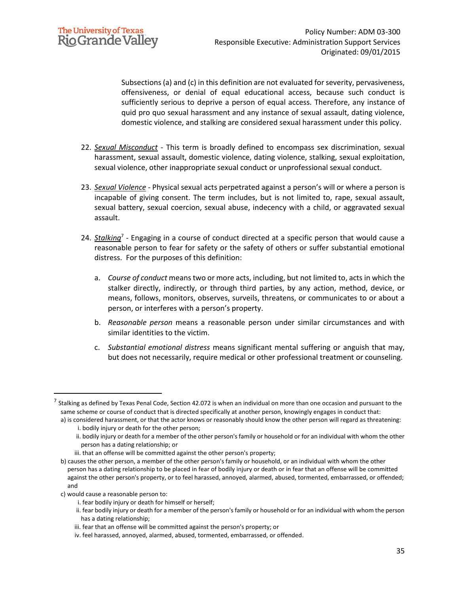Subsections (a) and (c) in this definition are not evaluated for severity, pervasiveness, offensiveness, or denial of equal educational access, because such conduct is sufficiently serious to deprive a person of equal access. Therefore, any instance of quid pro quo sexual harassment and any instance of sexual assault, dating violence, domestic violence, and stalking are considered sexual harassment under this policy.

- 22. *Sexual Misconduct* This term is broadly defined to encompass sex discrimination, sexual harassment, sexual assault, domestic violence, dating violence, stalking, sexual exploitation, sexual violence, other inappropriate sexual conduct or unprofessional sexual conduct.
- 23. *Sexual Violence* Physical sexual acts perpetrated against a person's will or where a person is incapable of giving consent. The term includes, but is not limited to, rape, sexual assault, sexual battery, sexual coercion, sexual abuse, indecency with a child, or aggravated sexual assault.
- 24. *Stalking*<sup>7</sup> Engaging in a course of conduct directed at a specific person that would cause a reasonable person to fear for safety or the safety of others or suffer substantial emotional distress. For the purposes of this definition:
	- a. *Course of conduct* means two or more acts, including, but not limited to, acts in which the stalker directly, indirectly, or through third parties, by any action, method, device, or means, follows, monitors, observes, surveils, threatens, or communicates to or about a person, or interferes with a person's property.
	- b. *Reasonable person* means a reasonable person under similar circumstances and with similar identities to the victim.
	- c. *Substantial emotional distress* means significant mental suffering or anguish that may, but does not necessarily, require medical or other professional treatment or counseling.

 $^7$  Stalking as defined by Texas Penal Code, Section 42.072 is when an individual on more than one occasion and pursuant to the same scheme or course of conduct that is directed specifically at another person, knowingly engages in conduct that:

a) is considered harassment, or that the actor knows or reasonably should know the other person will regard as threatening: i. bodily injury or death for the other person;

ii. bodily injury or death for a member of the other person's family or household or for an individual with whom the other person has a dating relationship; or

iii. that an offense will be committed against the other person's property;

b) causes the other person, a member of the other person's family or household, or an individual with whom the other person has a dating relationship to be placed in fear of bodily injury or death or in fear that an offense will be committed against the other person's property, or to feel harassed, annoyed, alarmed, abused, tormented, embarrassed, or offended; and

c) would cause a reasonable person to:

i. fear bodily injury or death for himself or herself;

ii. fear bodily injury or death for a member of the person's family or household or for an individual with whom the person has a dating relationship;

iii. fear that an offense will be committed against the person's property; or

iv. feel harassed, annoyed, alarmed, abused, tormented, embarrassed, or offended.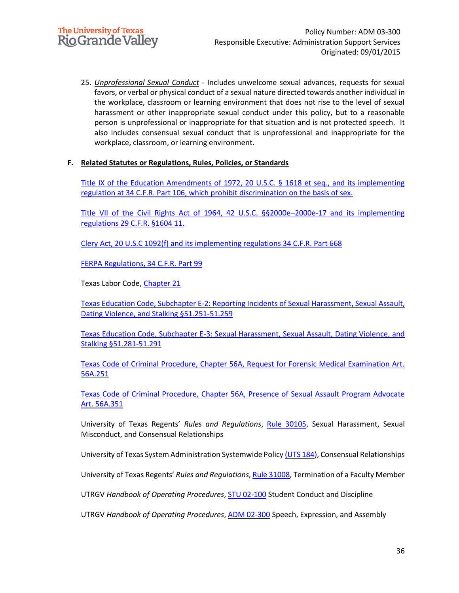25. *Unprofessional Sexual Conduct* - Includes unwelcome sexual advances, requests for sexual favors, or verbal or physical conduct of a sexual nature directed towards another individual in the workplace, classroom or learning environment that does not rise to the level of sexual harassment or other inappropriate sexual conduct under this policy, but to a reasonable person is unprofessional or inappropriate for that situation and is not protected speech. It also includes consensual sexual conduct that is unprofessional and inappropriate for the workplace, classroom, or learning environment.

### **F. Related Statutes or Regulations, Rules, Policies, or Standards**

[Title IX of the Education Amendments of 1972, 20 U.S.C. § 1618 et seq., and its implementing](https://www.govinfo.gov/content/pkg/USCODE-2013-title20/pdf/USCODE-2013-title20-chap38.pdf)  [regulation at 34 C.F.R. Part 106, which prohibit discrimination on the basis of sex.](https://www.govinfo.gov/content/pkg/USCODE-2013-title20/pdf/USCODE-2013-title20-chap38.pdf)

[Title VII of the Civil Rights Act of 1964, 42 U.S.C. §§2000e](https://www.eeoc.gov/laws/statutes/titlevii.cfm)–2000e-17 and its implementing [regulations 29 C.F.R. §1604 11.](https://www.eeoc.gov/laws/statutes/titlevii.cfm)

[Clery Act, 20 U.S.C 1092\(f\)](http://www.gpo.gov/fdsys/pkg/USCODE-2013-title20/pdf/USCODE-2013-title20-chap28-subchapIV-partF-sec1092.pdf) and its implementing regulations [34 C.F.R.](http://www.gpo.gov/fdsys/pkg/CFR-2013-title34-vol3/pdf/CFR-2013-title34-vol3-part668.pdf) Part 668

[FERPA Regulations, 34 C.F.R. Part 99](https://www.govinfo.gov/content/pkg/CFR-2013-title34-vol1/pdf/CFR-2013-title34-vol1-part99.pdf) 

Texas Labor Code, Chapter 21

[Texas Education Code, Subchapter E-2: Reporting Incidents of Sexual Harassment, Sexual Assault,](https://statutes.capitol.texas.gov/Docs/ED/htm/ED.51.htm#E-2)  [Dating Violence, and Stalking §51.251-51.259](https://statutes.capitol.texas.gov/Docs/ED/htm/ED.51.htm#E-2)

[Texas Education Code, Subchapter E-3: Sexual Harassment, Sexual Assault, Dating Violence, and](https://statutes.capitol.texas.gov/Docs/ED/htm/ED.51.htm#E-3)  [Stalking §51.281-51.291](https://statutes.capitol.texas.gov/Docs/ED/htm/ED.51.htm#E-3)

[Texas Code of Criminal Procedure, Chapter 56A, Request for Forensic Medical Examination Art.](https://statutes.capitol.texas.gov/Docs/CR/htm/CR.56A.htm)  [56A.251](https://statutes.capitol.texas.gov/Docs/CR/htm/CR.56A.htm)

[Texas Code of Criminal Procedure, Chapter 56A, Presence of Sexual Assault Program Advocate](https://statutes.capitol.texas.gov/Docs/CR/htm/CR.56A.htm)  [Art. 56A.351](https://statutes.capitol.texas.gov/Docs/CR/htm/CR.56A.htm)

University of Texas Regents' *Rules and Regulations*, [Rule 30105,](https://www.utsystem.edu/board-of-regents/rules/30105-sexual-harassment-sexual-misconduct-and-consensual-relationships) Sexual Harassment, Sexual Misconduct, and Consensual Relationships

[Un](http://www.gpo.gov/fdsys/pkg/CFR-2013-title34-vol1/pdf/CFR-2013-title34-vol1-part99.pdf)iversity of Texas System Administration Systemwide Polic[y \(UTS 184\)](https://www.utsystem.edu/sites/policy-library/policies/uts-184-consensual-relationships), Consensual Relationships

University of Texas Regents' *Rules and Regulations*, [Rule 31008,](https://www.utsystem.edu/board-of-regents/rules/31008-termination-faculty-member) Termination of a Faculty Member

UTRGV *Handbook of Operating Procedures*, STU [02-100](https://www.utrgv.edu/hop/policies/stu-02-100.pdf) Student Conduct and Discipline

UTRGV *Handbook of Operating Procedures*, [ADM 02-300](https://www.utrgv.edu/hop/policies/adm-02-300.pdf) Speech, Expression, and Assembly